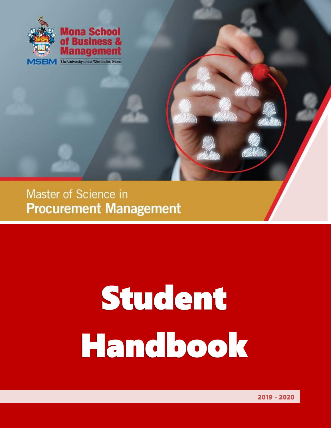

Master of Science in **Procurement Management** 

# Student Handbook

1 2019 - 2020

2019 - 2020 - 2020 - 2020 - 2020 - 2020 - 2020 - 2020 - 2020 - 2020 - 2020 - 2020 - 2020 - 2020 - 2020 - 2020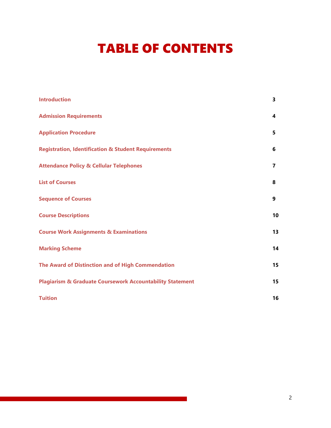# TABLE OF CONTENTS

| <b>Introduction</b>                                                  | 3  |
|----------------------------------------------------------------------|----|
| <b>Admission Requirements</b>                                        | 4  |
| <b>Application Procedure</b>                                         | 5  |
| <b>Registration, Identification &amp; Student Requirements</b>       | 6  |
| <b>Attendance Policy &amp; Cellular Telephones</b>                   | 7  |
| <b>List of Courses</b>                                               | 8  |
| <b>Sequence of Courses</b>                                           | 9  |
| <b>Course Descriptions</b>                                           | 10 |
| <b>Course Work Assignments &amp; Examinations</b>                    | 13 |
| <b>Marking Scheme</b>                                                | 14 |
| The Award of Distinction and of High Commendation                    | 15 |
| <b>Plagiarism &amp; Graduate Coursework Accountability Statement</b> | 15 |
| <b>Tuition</b>                                                       | 16 |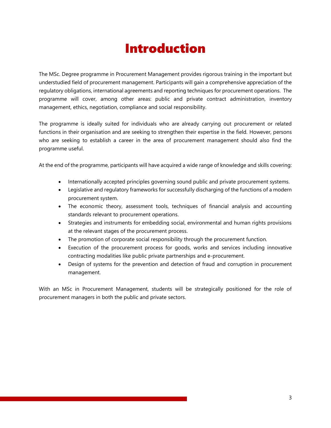# Introduction

The MSc. Degree programme in Procurement Management provides rigorous training in the important but understudied field of procurement management. Participants will gain a comprehensive appreciation of the regulatory obligations, international agreements and reporting techniques for procurement operations. The programme will cover, among other areas: public and private contract administration, inventory management, ethics, negotiation, compliance and social responsibility.

The programme is ideally suited for individuals who are already carrying out procurement or related functions in their organisation and are seeking to strengthen their expertise in the field. However, persons who are seeking to establish a career in the area of procurement management should also find the programme useful.

At the end of the programme, participants will have acquired a wide range of knowledge and skills covering:

- Internationally accepted principles governing sound public and private procurement systems.
- Legislative and regulatory frameworks for successfully discharging of the functions of a modern procurement system.
- The economic theory, assessment tools, techniques of financial analysis and accounting standards relevant to procurement operations.
- Strategies and instruments for embedding social, environmental and human rights provisions at the relevant stages of the procurement process.
- The promotion of corporate social responsibility through the procurement function.
- Execution of the procurement process for goods, works and services including innovative contracting modalities like public private partnerships and e-procurement.
- Design of systems for the prevention and detection of fraud and corruption in procurement management.

With an MSc in Procurement Management, students will be strategically positioned for the role of procurement managers in both the public and private sectors.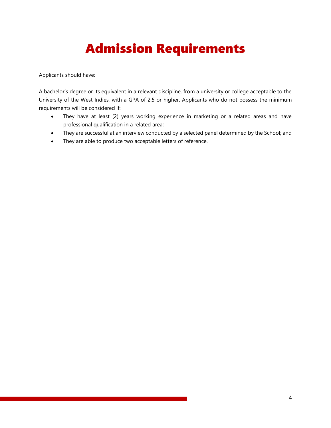# Admission Requirements

Applicants should have:

A bachelor's degree or its equivalent in a relevant discipline, from a university or college acceptable to the University of the West Indies, with a GPA of 2.5 or higher. Applicants who do not possess the minimum requirements will be considered if:

- They have at least (2) years working experience in marketing or a related areas and have professional qualification in a related area;
- They are successful at an interview conducted by a selected panel determined by the School; and
- They are able to produce two acceptable letters of reference.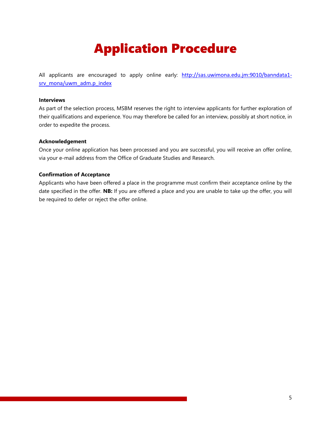# Application Procedure

All applicants are encouraged to apply online early: [http://sas.uwimona.edu.jm:9010/banndata1](http://sas.uwimona.edu.jm:9010/banndata1-srv_mona/uwm_adm.p_index) [srv\\_mona/uwm\\_adm.p\\_index](http://sas.uwimona.edu.jm:9010/banndata1-srv_mona/uwm_adm.p_index)

#### **Interviews**

As part of the selection process, MSBM reserves the right to interview applicants for further exploration of their qualifications and experience. You may therefore be called for an interview, possibly at short notice, in order to expedite the process.

#### **Acknowledgement**

Once your online application has been processed and you are successful, you will receive an offer online, via your e-mail address from the Office of Graduate Studies and Research.

#### **Confirmation of Acceptance**

Applicants who have been offered a place in the programme must confirm their acceptance online by the date specified in the offer. **NB:** If you are offered a place and you are unable to take up the offer, you will be required to defer or reject the offer online.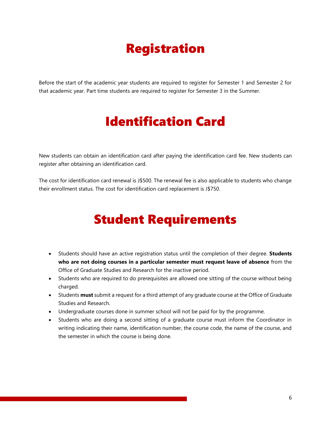# Registration

Before the start of the academic year students are required to register for Semester 1 and Semester 2 for that academic year. Part time students are required to register for Semester 3 in the Summer.

# Identification Card

New students can obtain an identification card after paying the identification card fee. New students can register after obtaining an identification card.

The cost for identification card renewal is J\$500. The renewal fee is also applicable to students who change their enrollment status. The cost for identification card replacement is J\$750.

# Student Requirements

- Students should have an active registration status until the completion of their degree. **Students who are not doing courses in a particular semester must request leave of absence** from the Office of Graduate Studies and Research for the inactive period.
- Students who are required to do prerequisites are allowed one sitting of the course without being charged.
- Students **must** submit a request for a third attempt of any graduate course at the Office of Graduate Studies and Research.
- Undergraduate courses done in summer school will not be paid for by the programme.
- Students who are doing a second sitting of a graduate course must inform the Coordinator in writing indicating their name, identification number, the course code, the name of the course, and the semester in which the course is being done.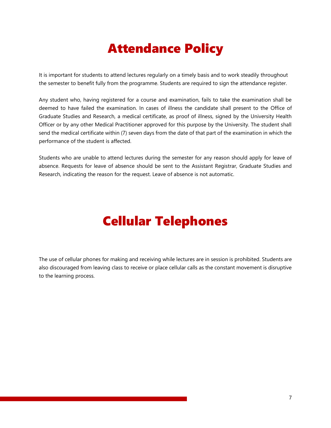# Attendance Policy

It is important for students to attend lectures regularly on a timely basis and to work steadily throughout the semester to benefit fully from the programme. Students are required to sign the attendance register.

Any student who, having registered for a course and examination, fails to take the examination shall be deemed to have failed the examination. In cases of illness the candidate shall present to the Office of Graduate Studies and Research, a medical certificate, as proof of illness, signed by the University Health Officer or by any other Medical Practitioner approved for this purpose by the University. The student shall send the medical certificate within (7) seven days from the date of that part of the examination in which the performance of the student is affected.

Students who are unable to attend lectures during the semester for any reason should apply for leave of absence. Requests for leave of absence should be sent to the Assistant Registrar, Graduate Studies and Research, indicating the reason for the request. Leave of absence is not automatic.

# Cellular Telephones

The use of cellular phones for making and receiving while lectures are in session is prohibited. Students are also discouraged from leaving class to receive or place cellular calls as the constant movement is disruptive to the learning process.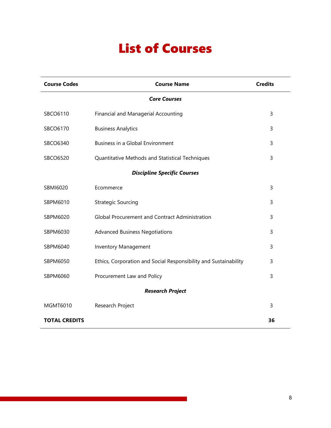# List of Courses

| <b>Course Codes</b>                                         | <b>Course Name</b>                                               | <b>Credits</b> |  |  |  |
|-------------------------------------------------------------|------------------------------------------------------------------|----------------|--|--|--|
| <b>Core Courses</b>                                         |                                                                  |                |  |  |  |
| SBCO6110                                                    | Financial and Managerial Accounting                              | 3              |  |  |  |
| SBCO6170                                                    | <b>Business Analytics</b>                                        |                |  |  |  |
| SBCO6340                                                    | Business in a Global Environment                                 |                |  |  |  |
| SBCO6520<br>Quantitative Methods and Statistical Techniques |                                                                  | 3              |  |  |  |
| <b>Discipline Specific Courses</b>                          |                                                                  |                |  |  |  |
| SBMI6020                                                    | Ecommerce                                                        | 3              |  |  |  |
| SBPM6010                                                    | <b>Strategic Sourcing</b>                                        | 3              |  |  |  |
| SBPM6020                                                    | <b>Global Procurement and Contract Administration</b>            | 3              |  |  |  |
| SBPM6030                                                    | <b>Advanced Business Negotiations</b><br>3                       |                |  |  |  |
| SBPM6040                                                    | <b>Inventory Management</b>                                      |                |  |  |  |
| SBPM6050                                                    | Ethics, Corporation and Social Responsibility and Sustainability |                |  |  |  |
| SBPM6060                                                    | Procurement Law and Policy                                       | 3              |  |  |  |
| <b>Research Project</b>                                     |                                                                  |                |  |  |  |
| MGMT6010                                                    | Research Project                                                 | 3              |  |  |  |
| <b>TOTAL CREDITS</b>                                        |                                                                  | 36             |  |  |  |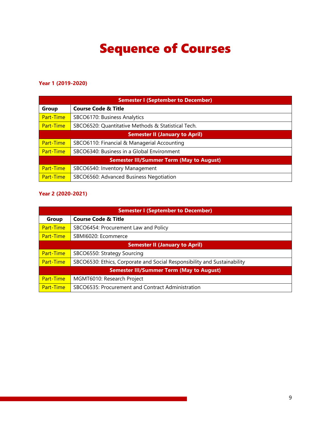# Sequence of Courses

#### **Year 1 (2019-2020)**

| <b>Semester I (September to December)</b>       |                                                    |  |  |  |
|-------------------------------------------------|----------------------------------------------------|--|--|--|
| Group                                           | <b>Course Code &amp; Title</b>                     |  |  |  |
| Part-Time                                       | SBCO6170: Business Analytics                       |  |  |  |
| Part-Time                                       | SBCO6520: Quantitative Methods & Statistical Tech. |  |  |  |
| <b>Semester II (January to April)</b>           |                                                    |  |  |  |
| Part-Time                                       | SBCO6110: Financial & Managerial Accounting        |  |  |  |
| Part-Time                                       | SBCO6340: Business in a Global Environment         |  |  |  |
| <b>Semester III/Summer Term (May to August)</b> |                                                    |  |  |  |
| Part-Time                                       | SBCO6540: Inventory Management                     |  |  |  |
| Part-Time                                       | SBCO6560: Advanced Business Negotiation            |  |  |  |

#### **Year 2 (2020-2021)**

| <b>Semester I (September to December)</b>       |                                                                          |  |  |  |
|-------------------------------------------------|--------------------------------------------------------------------------|--|--|--|
| <b>Group</b>                                    | <b>Course Code &amp; Title</b>                                           |  |  |  |
| Part-Time                                       | SBCO6454: Procurement Law and Policy                                     |  |  |  |
| Part-Time                                       | SBMI6020: Ecommerce                                                      |  |  |  |
| <b>Semester II (January to April)</b>           |                                                                          |  |  |  |
| Part-Time                                       | SBCO6550: Strategy Sourcing                                              |  |  |  |
| Part-Time                                       | SBCO6530: Ethics, Corporate and Social Responsibility and Sustainability |  |  |  |
| <b>Semester III/Summer Term (May to August)</b> |                                                                          |  |  |  |
| Part-Time                                       | MGMT6010: Research Project                                               |  |  |  |
| Part-Time                                       | SBCO6535: Procurement and Contract Administration                        |  |  |  |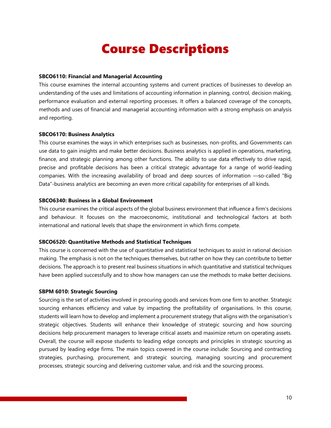### Course Descriptions

#### **SBCO6110: Financial and Managerial Accounting**

This course examines the internal accounting systems and current practices of businesses to develop an understanding of the uses and limitations of accounting information in planning, control, decision making, performance evaluation and external reporting processes. It offers a balanced coverage of the concepts, methods and uses of financial and managerial accounting information with a strong emphasis on analysis and reporting.

#### **SBCO6170: Business Analytics**

This course examines the ways in which enterprises such as businesses, non-profits, and Governments can use data to gain insights and make better decisions. Business analytics is applied in operations, marketing, finance, and strategic planning among other functions. The ability to use data effectively to drive rapid, precise and profitable decisions has been a critical strategic advantage for a range of world-leading companies. With the increasing availability of broad and deep sources of information —so-called "Big Data"-business analytics are becoming an even more critical capability for enterprises of all kinds.

#### **SBCO6340: Business in a Global Environment**

This course examines the critical aspects of the global business environment that influence a firm's decisions and behaviour. It focuses on the macroeconomic, institutional and technological factors at both international and national levels that shape the environment in which firms compete.

#### **SBCO6520: Quantitative Methods and Statistical Techniques**

This course is concerned with the use of quantitative and statistical techniques to assist in rational decision making. The emphasis is not on the techniques themselves, but rather on how they can contribute to better decisions. The approach is to present real business situations in which quantitative and statistical techniques have been applied successfully and to show how managers can use the methods to make better decisions.

#### **SBPM 6010: Strategic Sourcing**

Sourcing is the set of activities involved in procuring goods and services from one firm to another. Strategic sourcing enhances efficiency and value by impacting the profitability of organisations. In this course, students will learn how to develop and implement a procurement strategy that aligns with the organisation's strategic objectives. Students will enhance their knowledge of strategic sourcing and how sourcing decisions help procurement managers to leverage critical assets and maximize return on operating assets. Overall, the course will expose students to leading edge concepts and principles in strategic sourcing as pursued by leading edge firms. The main topics covered in the course include: Sourcing and contracting strategies, purchasing, procurement, and strategic sourcing, managing sourcing and procurement processes, strategic sourcing and delivering customer value, and risk and the sourcing process.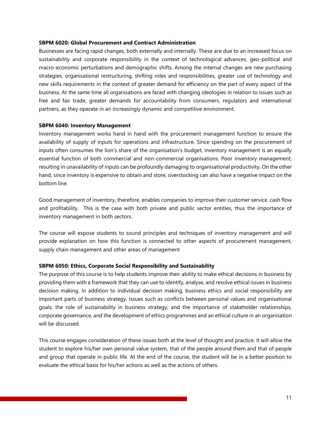#### **SBPM 6020: Global Procurement and Contract Administration**

Businesses are facing rapid changes, both externally and internally. These are due to an increased focus on sustainability and corporate responsibility in the context of technological advances, geo-political and macro-economic perturbations and demographic shifts. Among the internal changes are new purchasing strategies, organisational restructuring, shifting roles and responsibilities, greater use of technology and new skills requirements in the context of greater demand for efficiency on the part of every aspect of the business. At the same time all organisations are faced with changing ideologies in relation to issues such as free and fair trade, greater demands for accountability from consumers, regulators and international partners, as they operate in an increasingly dynamic and competitive environment.

#### **SBPM 6040: Inventory Management**

Inventory management works hand in hand with the procurement management function to ensure the availability of supply of inputs for operations and infrastructure. Since spending on the procurement of inputs often consumes the lion's share of the organisation's budget, inventory management is an equally essential function of both commercial and non-commercial organisations. Poor inventory management, resulting in unavailability of inputs can be profoundly damaging to organisational productivity. On the other hand, since inventory is expensive to obtain and store, overstocking can also have a negative impact on the bottom line.

Good management of inventory, therefore, enables companies to improve their customer service, cash flow and profitability. This is the case with both private and public sector entities, thus the importance of inventory management in both sectors.

The course will expose students to sound principles and techniques of inventory management and will provide explanation on how this function is connected to other aspects of procurement management, supply chain management and other areas of management

#### **SBPM 6050: Ethics, Corporate Social Responsibility and Sustainability**

The purpose of this course is to help students improve their ability to make ethical decisions in business by providing them with a framework that they can use to identify, analyse, and resolve ethical issues in business decision making. In addition to individual decision making, business ethics and social responsibility are important parts of business strategy. Issues such as conflicts between personal values and organisational goals; the role of sustainability in business strategy; and the importance of stakeholder relationships, corporate governance, and the development of ethics programmes and an ethical culture in an organisation will be discussed.

This course engages consideration of these issues both at the level of thought and practice. It will allow the student to explore his/her own personal value system, that of the people around them and that of people and group that operate in public life. At the end of the course, the student will be in a better position to evaluate the ethical basis for his/her actions as well as the actions of others.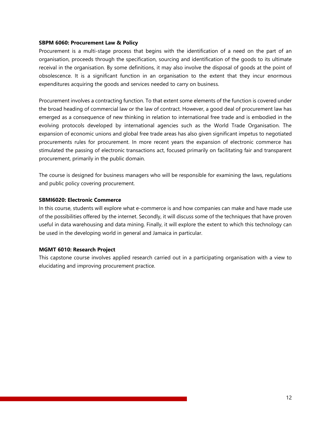#### **SBPM 6060: Procurement Law & Policy**

Procurement is a multi-stage process that begins with the identification of a need on the part of an organisation, proceeds through the specification, sourcing and identification of the goods to its ultimate receival in the organisation. By some definitions, it may also involve the disposal of goods at the point of obsolescence. It is a significant function in an organisation to the extent that they incur enormous expenditures acquiring the goods and services needed to carry on business.

Procurement involves a contracting function. To that extent some elements of the function is covered under the broad heading of commercial law or the law of contract. However, a good deal of procurement law has emerged as a consequence of new thinking in relation to international free trade and is embodied in the evolving protocols developed by international agencies such as the World Trade Organisation. The expansion of economic unions and global free trade areas has also given significant impetus to negotiated procurements rules for procurement. In more recent years the expansion of electronic commerce has stimulated the passing of electronic transactions act, focused primarily on facilitating fair and transparent procurement, primarily in the public domain.

The course is designed for business managers who will be responsible for examining the laws, regulations and public policy covering procurement.

#### **SBMI6020: Electronic Commerce**

In this course, students will explore what e-commerce is and how companies can make and have made use of the possibilities offered by the internet. Secondly, it will discuss some of the techniques that have proven useful in data warehousing and data mining. Finally, it will explore the extent to which this technology can be used in the developing world in general and Jamaica in particular.

#### **MGMT 6010: Research Project**

This capstone course involves applied research carried out in a participating organisation with a view to elucidating and improving procurement practice.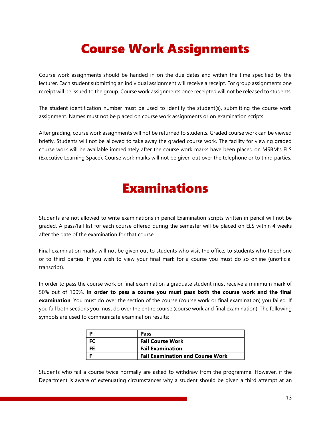# Course Work Assignments

Course work assignments should be handed in on the due dates and within the time specified by the lecturer. Each student submitting an individual assignment will receive a receipt. For group assignments one receipt will be issued to the group. Course work assignments once receipted will not be released to students.

The student identification number must be used to identify the student(s), submitting the course work assignment. Names must not be placed on course work assignments or on examination scripts.

After grading, course work assignments will not be returned to students. Graded course work can be viewed briefly. Students will not be allowed to take away the graded course work. The facility for viewing graded course work will be available immediately after the course work marks have been placed on MSBM's ELS (Executive Learning Space). Course work marks will not be given out over the telephone or to third parties.

### Examinations

Students are not allowed to write examinations in pencil Examination scripts written in pencil will not be graded. A pass/fail list for each course offered during the semester will be placed on ELS within 4 weeks after the date of the examination for that course.

Final examination marks will not be given out to students who visit the office, to students who telephone or to third parties. If you wish to view your final mark for a course you must do so online (unofficial transcript).

In order to pass the course work or final examination a graduate student must receive a minimum mark of 50% out of 100%. **In order to pass a course you must pass both the course work and the final examination**. You must do over the section of the course (course work or final examination) you failed. If you fail both sections you must do over the entire course (course work and final examination). The following symbols are used to communicate examination results:

| Pass                                    |
|-----------------------------------------|
| <b>Fail Course Work</b>                 |
| <b>Fail Examination</b>                 |
| <b>Fail Examination and Course Work</b> |

Students who fail a course twice normally are asked to withdraw from the programme. However, if the Department is aware of extenuating circumstances why a student should be given a third attempt at an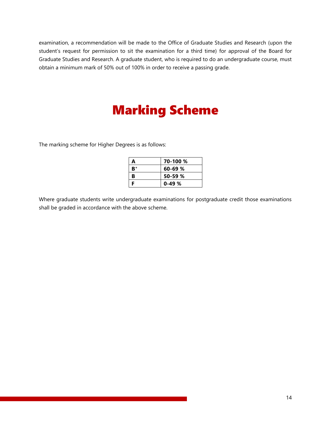examination, a recommendation will be made to the Office of Graduate Studies and Research (upon the student's request for permission to sit the examination for a third time) for approval of the Board for Graduate Studies and Research. A graduate student, who is required to do an undergraduate course, must obtain a minimum mark of 50% out of 100% in order to receive a passing grade.

# Marking Scheme

The marking scheme for Higher Degrees is as follows:

| A  | 70-100 %    |
|----|-------------|
| B+ | $60 - 69 %$ |
| В  | $50 - 59$ % |
| F  | $0-49%$     |

Where graduate students write undergraduate examinations for postgraduate credit those examinations shall be graded in accordance with the above scheme.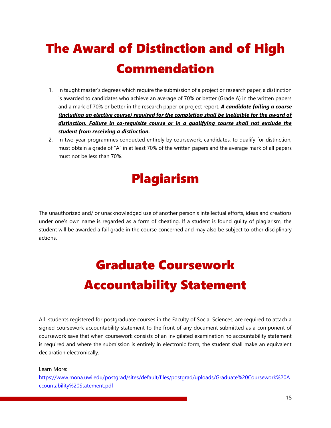# The Award of Distinction and of High Commendation

- 1. In taught master's degrees which require the submission of a project or research paper, a distinction is awarded to candidates who achieve an average of 70% or better (Grade A) in the written papers and a mark of 70% or better in the research paper or project report. *A candidate failing a course (including an elective course) required for the completion shall be ineligible for the award of distinction. Failure in co-requisite course or in a qualifying course shall not exclude the student from receiving a distinction.*
- 2. In two-year programmes conducted entirely by coursework, candidates, to qualify for distinction, must obtain a grade of "A" in at least 70% of the written papers and the average mark of all papers must not be less than 70%.

# Plagiarism

The unauthorized and/ or unacknowledged use of another person's intellectual efforts, ideas and creations under one's own name is regarded as a form of cheating. If a student is found guilty of plagiarism, the student will be awarded a fail grade in the course concerned and may also be subject to other disciplinary actions.

# Graduate Coursework Accountability Statement

All students registered for postgraduate courses in the Faculty of Social Sciences, are required to attach a signed coursework accountability statement to the front of any document submitted as a component of coursework save that when coursework consists of an invigilated examination no accountability statement is required and where the submission is entirely in electronic form, the student shall make an equivalent declaration electronically.

Learn More:

[https://www.mona.uwi.edu/postgrad/sites/default/files/postgrad/uploads/Graduate%20Coursework%20A](https://www.mona.uwi.edu/postgrad/sites/default/files/postgrad/uploads/Graduate%20Coursework%20Accountability%20Statement.pdf) [ccountability%20Statement.pdf](https://www.mona.uwi.edu/postgrad/sites/default/files/postgrad/uploads/Graduate%20Coursework%20Accountability%20Statement.pdf)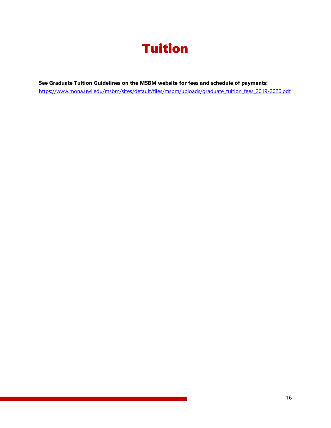

**See Graduate Tuition Guidelines on the MSBM website for fees and schedule of payments:** [https://www.mona.uwi.edu/msbm/sites/default/files/msbm/uploads/graduate\\_tuition\\_fees\\_2019-2020.pdf](https://www.mona.uwi.edu/msbm/sites/default/files/msbm/uploads/graduate_tuition_fees_2019-2020.pdf)